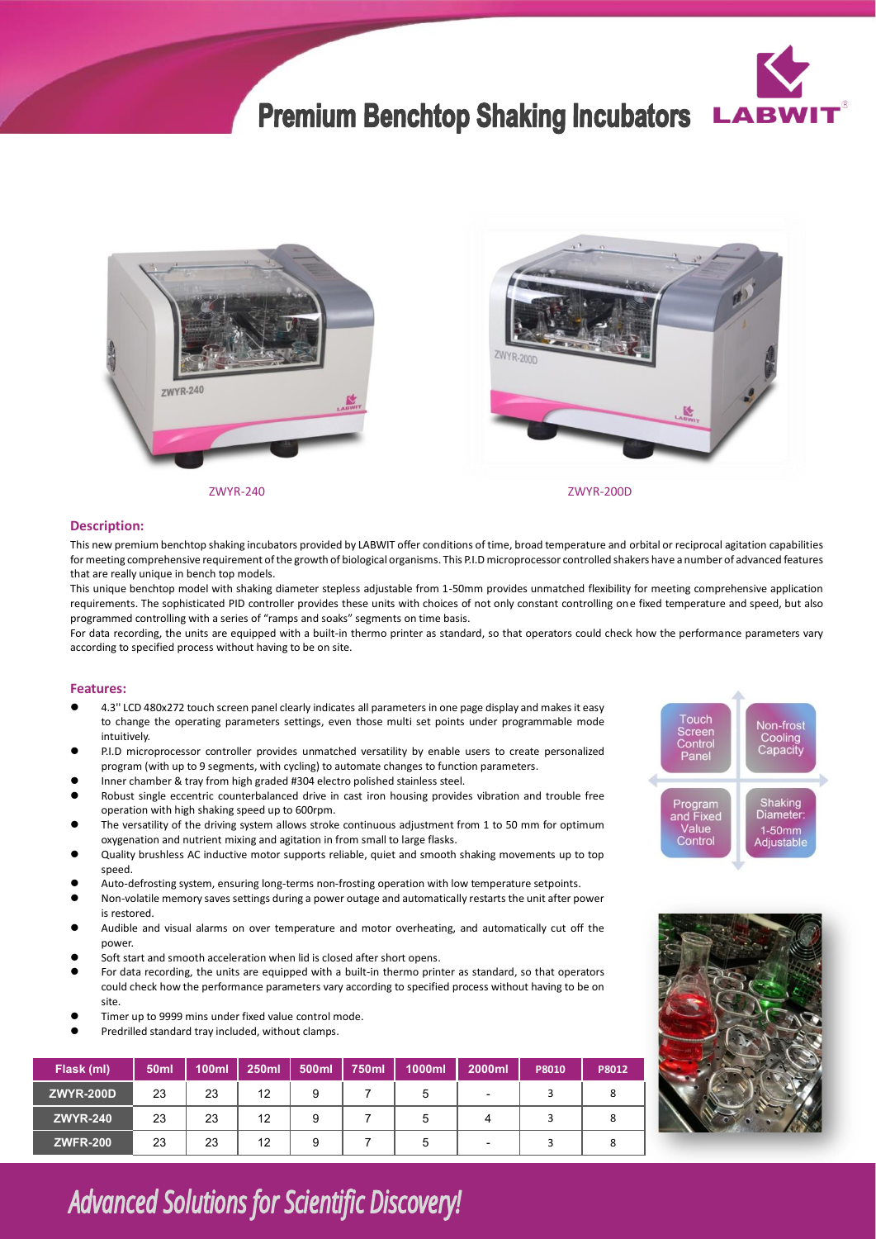## **Premium Benchtop Shaking Incubators**







ZWYR-240 ZWYR-200D

## **Description:**

This new premium benchtop shaking incubators provided by LABWIT offer conditions of time, broad temperature and orbital or reciprocal agitation capabilities for meeting comprehensive requirement of the growth of biological organisms. This P.I.D microprocessor controlled shakers have a number of advanced features that are really unique in bench top models.

This unique benchtop model with shaking diameter stepless adjustable from 1-50mm provides unmatched flexibility for meeting comprehensive application requirements. The sophisticated PID controller provides these units with choices of not only constant controlling one fixed temperature and speed, but also programmed controlling with a series of "ramps and soaks" segments on time basis.

For data recording, the units are equipped with a built-in thermo printer as standard, so that operators could check how the performance parameters vary according to specified process without having to be on site.

## **Features:**

- ⚫ 4.3'' LCD 480x272 touch screen panel clearly indicates all parameters in one page display and makes it easy to change the operating parameters settings, even those multi set points under programmable mode intuitively.
- ⚫ P.I.D microprocessor controller provides unmatched versatility by enable users to create personalized program (with up to 9 segments, with cycling) to automate changes to function parameters.
- ⚫ Inner chamber & tray from high graded #304 electro polished stainless steel.
- ⚫ Robust single eccentric counterbalanced drive in cast iron housing provides vibration and trouble free operation with high shaking speed up to 600rpm.
- ⚫ The versatility of the driving system allows stroke continuous adjustment from 1 to 50 mm for optimum oxygenation and nutrient mixing and agitation in from small to large flasks.
- ⚫ Quality brushless AC inductive motor supports reliable, quiet and smooth shaking movements up to top speed.
- ⚫ Auto-defrosting system, ensuring long-terms non-frosting operation with low temperature setpoints.
- ⚫ Non-volatile memory saves settings during a power outage and automatically restarts the unit after power is restored.
- ⚫ Audible and visual alarms on over temperature and motor overheating, and automatically cut off the power.
- Soft start and smooth acceleration when lid is closed after short opens.
- ⚫ For data recording, the units are equipped with a built-in thermo printer as standard, so that operators could check how the performance parameters vary according to specified process without having to be on site.
- ⚫ Timer up to 9999 mins under fixed value control mode.
- ⚫ Predrilled standard tray included, without clamps.

| Flask (ml)       | 50 <sub>ml</sub> | <b>100ml</b> | 250ml | 500ml | 750ml | 1000ml | 2000ml                   | P8010 | P8012 |
|------------------|------------------|--------------|-------|-------|-------|--------|--------------------------|-------|-------|
| <b>ZWYR-200D</b> | 23               | 23           | 12    | 9     |       | 5      | $\overline{\phantom{0}}$ |       |       |
| <b>ZWYR-240</b>  | 23               | 23           | 12    | 9     |       | 5      |                          |       |       |
| <b>ZWFR-200</b>  | 23               | 23           | 12    | 9     |       | 5      | $\overline{\phantom{0}}$ |       |       |





**Advanced Solutions for Scientific Discovery!**